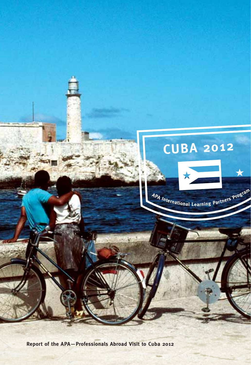

**Report of the APA—Professionals Abroad Visit to Cuba 2012**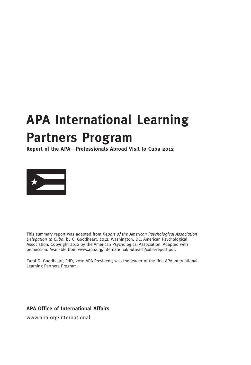# **APA International Learning Partners Program**

**Report of the APA—Professionals Abroad Visit to Cuba 2012**



This summary report was adapted from *Report of the American Psychological Association Delegation to Cuba*, by C. Goodheart, 2012, Washington, DC: American Psychological Association. Copyright 2012 by the American Psychological Association. Adapted with permission. Available from www.apa.org/international/outreach/cuba-report.pdf.

Carol D. Goodheart, EdD, 2010 APA President, was the leader of the first APA International Learning Partners Program.

**APA Office of International Affairs**

www.apa.org/international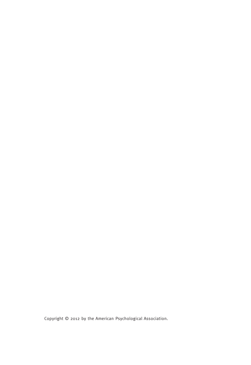Copyright © 2012 by the American Psychological Association.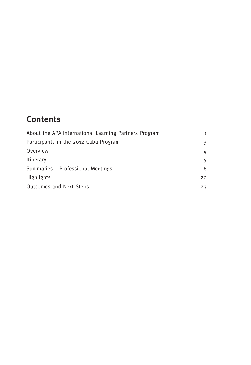# **Contents**

| About the APA International Learning Partners Program | $\mathbf{1}$ |
|-------------------------------------------------------|--------------|
| Participants in the 2012 Cuba Program                 | 3            |
| Overview                                              | 4            |
| Itinerary                                             | 5            |
| Summaries - Professional Meetings                     | 6            |
| <b>Highlights</b>                                     | 20           |
| Outcomes and Next Steps                               | 23           |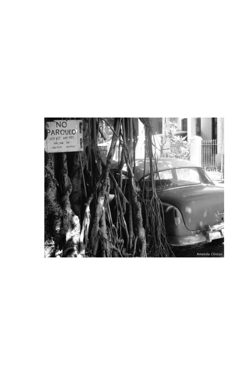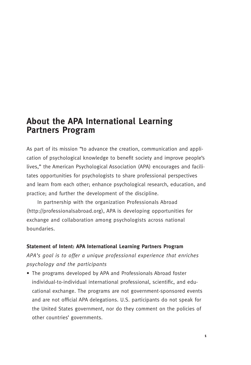# **About the APA International Learning Partners Program**

As part of its mission "to advance the creation, communication and application of psychological knowledge to benefit society and improve people's lives," the American Psychological Association (APA) encourages and facilitates opportunities for psychologists to share professional perspectives and learn from each other; enhance psychological research, education, and practice; and further the development of the discipline.

In partnership with the organization Professionals Abroad (http://professionalsabroad.org), APA is developing opportunities for exchange and collaboration among psychologists across national boundaries.

#### **Statement of Intent: APA International Learning Partners Program**

*APA's goal is to offer a unique professional experience that enriches psychology and the participants*

• The programs developed by APA and Professionals Abroad foster individual-to-individual international professional, scientific, and educational exchange. The programs are not government-sponsored events and are not official APA delegations. U.S. participants do not speak for the United States government, nor do they comment on the policies of other countries' governments.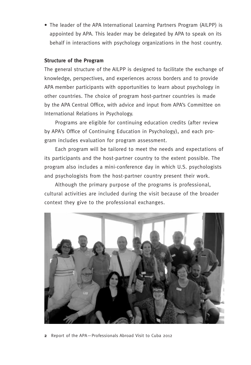• The leader of the APA International Learning Partners Program (AILPP) is appointed by APA. This leader may be delegated by APA to speak on its behalf in interactions with psychology organizations in the host country.

### **Structure of the Program**

The general structure of the AILPP is designed to facilitate the exchange of knowledge, perspectives, and experiences across borders and to provide APA member participants with opportunities to learn about psychology in other countries. The choice of program host-partner countries is made by the APA Central Office, with advice and input from APA's Committee on International Relations in Psychology.

Programs are eligible for continuing education credits (after review by APA's Office of Continuing Education in Psychology), and each program includes evaluation for program assessment.

Each program will be tailored to meet the needs and expectations of its participants and the host-partner country to the extent possible. The program also includes a mini-conference day in which U.S. psychologists and psychologists from the host-partner country present their work.

Although the primary purpose of the programs is professional, cultural activities are included during the visit because of the broader context they give to the professional exchanges.



**2** Report of the APA—Professionals Abroad Visit to Cuba 2012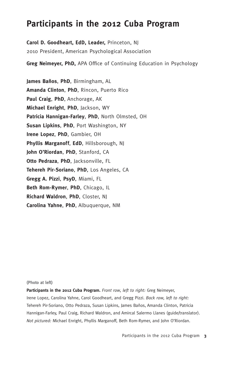# **Participants in the 2012 Cuba Program**

**Carol D. Goodheart, EdD, Leader,** Princeton, NJ 2010 President, American Psychological Association

**Greg Neimeyer, PhD,** APA Office of Continuing Education in Psychology

**James Baños**, **PhD**, Birmingham, AL **Amanda Clinton**, **PhD**, Rincon, Puerto Rico **Paul Craig**, **PhD**, Anchorage, AK **Michael Enright**, **PhD**, Jackson, WY **Patricia Hannigan-Farley**, **PhD**, North Olmsted, OH **Susan Lipkins**, **PhD**, Port Washington, NY **Irene Lopez**, **PhD**, Gambier, OH **Phyllis Marganoff**, **EdD**, Hillsborough, NJ **John O'Riordan**, **PhD**, Stanford, CA **Otto Pedraza**, **PhD**, Jacksonville, FL **Tehereh Pir-Soriano**, **PhD**, Los Angeles, CA **Gregg A. Pizzi**, **PsyD**, Miami, FL **Beth Rom-Rymer**, **PhD**, Chicago, IL **Richard Waldron**, **PhD**, Closter, NJ **Carolina Yahne**, **PhD**, Albuquerque, NM

#### **(Photo at left)**

**Participants in the 2012 Cuba Program.** *Front row, left to right:* Greg Neimeyer, Irene Lopez, Carolina Yahne, Carol Goodheart, and Gregg Pizzi. *Back row, left to right:* Tehereh Pir-Soriano, Otto Pedraza, Susan Lipkins, James Baños, Amanda Clinton, Patricia Hannigan-Farley, Paul Craig, Richard Waldron, and Amircal Salermo Llanes (guide/translator). *Not pictured:* Michael Enright, Phyllis Marganoff, Beth Rom-Rymer, and John O'Riordan.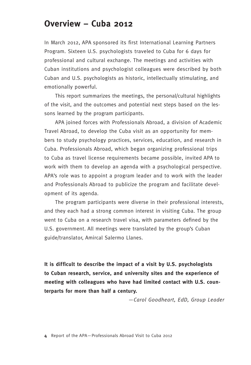# **Overview – Cuba 2012**

In March 2012, APA sponsored its first International Learning Partners Program. Sixteen U.S. psychologists traveled to Cuba for 6 days for professional and cultural exchange. The meetings and activities with Cuban institutions and psychologist colleagues were described by both Cuban and U.S. psychologists as historic, intellectually stimulating, and emotionally powerful.

This report summarizes the meetings, the personal/cultural highlights of the visit, and the outcomes and potential next steps based on the lessons learned by the program participants.

APA joined forces with Professionals Abroad, a division of Academic Travel Abroad, to develop the Cuba visit as an opportunity for members to study psychology practices, services, education, and research in Cuba. Professionals Abroad, which began organizing professional trips to Cuba as travel license requirements became possible, invited APA to work with them to develop an agenda with a psychological perspective. APA's role was to appoint a program leader and to work with the leader and Professionals Abroad to publicize the program and facilitate development of its agenda.

The program participants were diverse in their professional interests, and they each had a strong common interest in visiting Cuba. The group went to Cuba on a research travel visa, with parameters defined by the U.S. government. All meetings were translated by the group's Cuban guide/translator, Amircal Salermo Llanes.

**It is difficult to describe the impact of a visit by U.S. psychologists to Cuban research, service, and university sites and the experience of meeting with colleagues who have had limited contact with U.S. counterparts for more than half a century.**

—*Carol Goodheart, EdD, Group Leader*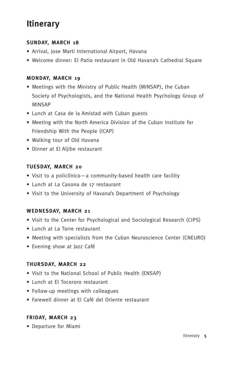# **Itinerary**

### **Sunday, March 18**

- Arrival, Jose Marti International Airport, Havana
- Welcome dinner: El Patio restaurant in Old Havana's Cathedral Square

### **Monday, March 19**

- Meetings with the Ministry of Public Health (MINSAP), the Cuban Society of Psychologists, and the National Health Psychology Group of MINSAP
- Lunch at Casa de la Amistad with Cuban guests
- Meeting with the North America Division of the Cuban Institute for Friendship With the People (ICAP)
- Walking tour of Old Havana
- Dinner at El Aljibe restaurant

### **Tuesday, March 20**

- Visit to a policlínico—a community-based health care facility
- Lunch at La Casona de 17 restaurant
- Visit to the University of Havana's Department of Psychology

### **Wednesday, March 21**

- Visit to the Center for Psychological and Sociological Research (CIPS)
- Lunch at La Torre restaurant
- Meeting with specialists from the Cuban Neuroscience Center (CNEURO)
- Evening show at Jazz Café

### **Thursday, March 22**

- Visit to the National School of Public Health (ENSAP)
- Lunch at El Tocororo restaurant
- Follow-up meetings with colleagues
- Farewell dinner at El Café del Oriente restaurant

## **Friday, March 23**

• Departure for Miami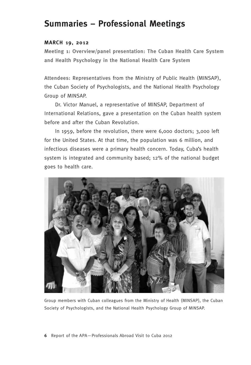# **Summaries – Professional Meetings**

#### **March 19, 2012**

**Meeting 1: Overview/panel presentation: The Cuban Health Care System and Health Psychology in the National Health Care System**

**Attendees:** Representatives from the Ministry of Public Health (MINSAP), the Cuban Society of Psychologists, and the National Health Psychology Group of MINSAP.

Dr. Victor Manuel, a representative of MINSAP, Department of International Relations, gave a presentation on the Cuban health system before and after the Cuban Revolution.

In 1959, before the revolution, there were 6,000 doctors; 3,000 left for the United States. At that time, the population was 6 million, and infectious diseases were a primary health concern. Today, Cuba's health system is integrated and community based; 12% of the national budget goes to health care.



Group members with Cuban colleagues from the Ministry of Health (MINSAP), the Cuban Society of Psychologists, and the National Health Psychology Group of MINSAP.

**6** Report of the APA—Professionals Abroad Visit to Cuba 2012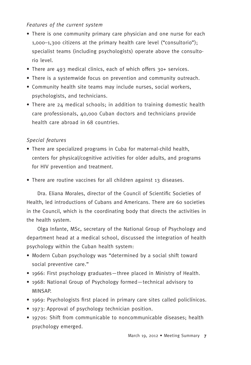### *Features of the current system*

- There is one community primary care physician and one nurse for each 1,000–1,300 citizens at the primary health care level ("consultorio"); specialist teams (including psychologists) operate above the consultorio level.
- There are 493 medical clinics, each of which offers 30+ services.
- There is a systemwide focus on prevention and community outreach.
- Community health site teams may include nurses, social workers, psychologists, and technicians.
- There are 24 medical schools; in addition to training domestic health care professionals, 40,000 Cuban doctors and technicians provide health care abroad in 68 countries.

### *Special features*

- There are specialized programs in Cuba for maternal-child health, centers for physical/cognitive activities for older adults, and programs for HIV prevention and treatment.
- There are routine vaccines for all children against 13 diseases.

Dra. Eliana Morales, director of the Council of Scientific Societies of Health, led introductions of Cubans and Americans. There are 60 societies in the Council, which is the coordinating body that directs the activities in the health system.

Olga Infante, MSc, secretary of the National Group of Psychology and department head at a medical school, discussed the integration of health psychology within the Cuban health system:

- Modern Cuban psychology was "determined by a social shift toward social preventive care."
- 1966: First psychology graduates—three placed in Ministry of Health.
- 1968: National Group of Psychology formed—technical advisory to MINSAP.
- 1969: Psychologists first placed in primary care sites called policlínicos.
- 1973: Approval of psychology technician position.
- 1970s: Shift from communicable to noncommunicable diseases; health psychology emerged.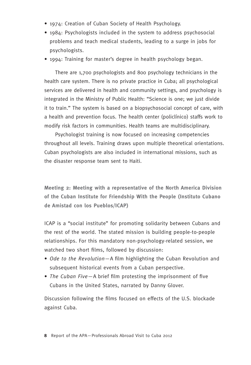- 1974: Creation of Cuban Society of Health Psychology.
- 1984: Psychologists included in the system to address psychosocial problems and teach medical students, leading to a surge in jobs for psychologists.
- 1994: Training for master's degree in health psychology began.

There are 1,700 psychologists and 800 psychology technicians in the health care system. There is no private practice in Cuba; all psychological services are delivered in health and community settings, and psychology is integrated in the Ministry of Public Health: "Science is one; we just divide it to train." The system is based on a biopsychosocial concept of care, with a health and prevention focus. The health center (policlínico) staffs work to modify risk factors in communities. Health teams are multidisciplinary.

Psychologist training is now focused on increasing competencies throughout all levels. Training draws upon multiple theoretical orientations. Cuban psychologists are also included in international missions, such as the disaster response team sent to Haiti.

**Meeting 2: Meeting with a representative of the North America Division of the Cuban Institute for Friendship With the People (Instituto Cubano de Amistad con los Pueblos/ICAP)**

ICAP is a "social institute" for promoting solidarity between Cubans and the rest of the world. The stated mission is building people-to-people relationships. For this mandatory non-psychology-related session, we watched two short films, followed by discussion:

- *Ode to the Revolution*—A film highlighting the Cuban Revolution and subsequent historical events from a Cuban perspective.
- *The Cuban Five*—A brief film protesting the imprisonment of five Cubans in the United States, narrated by Danny Glover.

Discussion following the films focused on effects of the U.S. blockade against Cuba.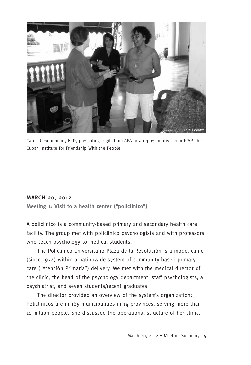

Carol D. Goodheart, EdD, presenting a gift from APA to a representative from ICAP, the Cuban Institute for Friendship With the People.

#### **March 20, 2012**

**Meeting 1: Visit to a health center ("policlínico")** 

A policlínico is a community-based primary and secondary health care facility. The group met with policlínico psychologists and with professors who teach psychology to medical students.

The Policlínico Universitario Plaza de la Revolución is a model clinic (since 1974) within a nationwide system of community-based primary care ("Atención Primaria") delivery. We met with the medical director of the clinic, the head of the psychology department, staff psychologists, a psychiatrist, and seven students/recent graduates.

The director provided an overview of the system's organization: Policlínicos are in 165 municipalities in 14 provinces, serving more than 11 million people. She discussed the operational structure of her clinic,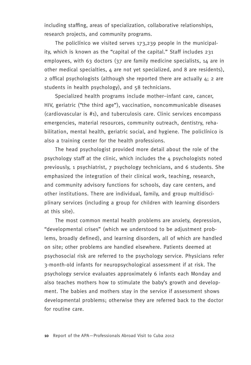including staffing, areas of specialization, collaborative relationships, research projects, and community programs.

The policlínico we visited serves 173,239 people in the municipality, which is known as the "capital of the capital." Staff includes 231 employees, with 63 doctors (37 are family medicine specialists, 14 are in other medical specialties,  $\mu$  are not yet specialized, and 8 are residents), 2 offical psychologists (although she reported there are actually 4; 2 are students in health psychology), and 58 technicians.

Specialized health programs include mother–infant care, cancer, HIV, geriatric ("the third age"), vaccination, noncommunicable diseases (cardiovascular is #1), and tuberculosis care. Clinic services encompass emergencies, material resources, community outreach, dentistry, rehabilitation, mental health, geriatric social, and hygiene. The policlínico is also a training center for the health professions.

The head psychologist provided more detail about the role of the psychology staff at the clinic, which includes the 4 psychologists noted previously, 1 psychiatrist, 7 psychology technicians, and 6 students. She emphasized the integration of their clinical work, teaching, research, and community advisory functions for schools, day care centers, and other institutions. There are individual, family, and group multidisciplinary services (including a group for children with learning disorders at this site).

The most common mental health problems are anxiety, depression, "developmental crises" (which we understood to be adjustment problems, broadly defined), and learning disorders, all of which are handled on site; 0ther problems are handled elsewhere. Patients deemed at psychosocial risk are referred to the psychology service. Physicians refer 3-month-old infants for neuropsychological assessment if at risk. The psychology service evaluates approximately 6 infants each Monday and also teaches mothers how to stimulate the baby's growth and development. The babies and mothers stay in the service if assessment shows developmental problems; otherwise they are referred back to the doctor for routine care.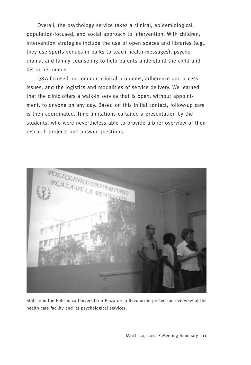Overall, the psychology service takes a clinical, epidemiological, population-focused, and social approach to intervention. With children, intervention strategies include the use of open spaces and libraries (e.g., they use sports venues in parks to teach health messages), psychodrama, and family counseling to help parents understand the child and his or her needs.

Q&A focused on common clinical problems, adherence and access issues, and the logistics and modalities of service delivery. We learned that the clinic offers a walk-in service that is open, without appointment, to anyone on any day. Based on this initial contact, follow-up care is then coordinated. Time limitations curtailed a presentation by the students, who were nevertheless able to provide a brief overview of their research projects and answer questions.



Staff from the Policlínico Universitario Plaza de la Revolución present an overview of the health care facility and its psychological services.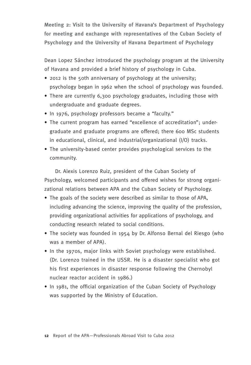**Meeting 2: Visit to the University of Havana's Department of Psychology for meeting and exchange with representatives of the Cuban Society of Psychology and the University of Havana Department of Psychology**

Dean Lopez Sánchez introduced the psychology program at the University of Havana and provided a brief history of psychology in Cuba.

- 2012 is the 50th anniversary of psychology at the university; psychology began in 1962 when the school of psychology was founded.
- There are currently 6,300 psychology graduates, including those with undergraduate and graduate degrees.
- In 1976, psychology professors became a "faculty."
- The current program has earned "excellence of accreditation"; undergraduate and graduate programs are offered; there 600 MSc students in educational, clinical, and industrial/organizational (I/O) tracks.
- The university-based center provides psychological services to the community.

Dr. Alexis Lorenzo Ruiz, president of the Cuban Society of Psychology, welcomed participants and offered wishes for strong organizational relations between APA and the Cuban Society of Psychology.

- The goals of the society were described as similar to those of APA, including advancing the science, improving the quality of the profession, providing organizational activities for applications of psychology, and conducting research related to social conditions.
- The society was founded in 1954 by Dr. Alfonso Bernal del Riesgo (who was a member of APA).
- In the 1970s, major links with Soviet psychology were established. (Dr. Lorenzo trained in the USSR. He is a disaster specialist who got his first experiences in disaster response following the Chernobyl nuclear reactor accident in 1986.)
- In 1981, the official organization of the Cuban Society of Psychology was supported by the Ministry of Education.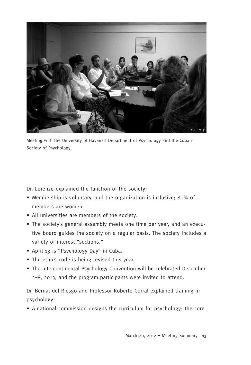

Meeting with the University of Havana's Department of Psychology and the Cuban Society of Psychology.

Dr. Lorenzo explained the function of the society:

- Membership is voluntary, and the organization is inclusive; 80% of members are women.
- All universities are members of the society.
- The society's general assembly meets one time per year, and an executive board guides the society on a regular basis. The society includes a variety of interest "sections."
- April 13 is "Psychology Day" in Cuba.
- The ethics code is being revised this year.
- The Intercontinental Psychology Convention will be celebrated December 2–8, 2013, and the program participants were invited to attend.

Dr. Bernal del Riesgo and Professor Roberto Corral explained training in psychology:

• A national commission designs the curriculum for psychology; the core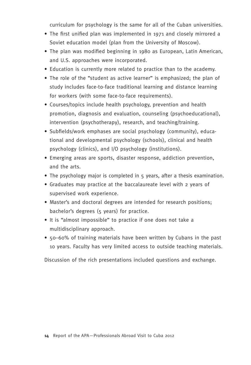curriculum for psychology is the same for all of the Cuban universities.

- The first unified plan was implemented in 1971 and closely mirrored a Soviet education model (plan from the University of Moscow).
- The plan was modified beginning in 1980 as European, Latin American, and U.S. approaches were incorporated.
- Education is currently more related to practice than to the academy.
- The role of the "student as active learner" is emphasized; the plan of study includes face-to-face traditional learning and distance learning for workers (with some face-to-face requirements).
- Courses/topics include health psychology, prevention and health promotion, diagnosis and evaluation, counseling (psychoeducational), intervention (psychotherapy), research, and teaching/training.
- Subfields/work emphases are social psychology (community), educational and developmental psychology (schools), clinical and health psychology (clinics), and I/O psychology (institutions).
- Emerging areas are sports, disaster response, addiction prevention, and the arts.
- The psychology major is completed in 5 years, after a thesis examination.
- Graduates may practice at the baccalaureate level with 2 years of supervised work experience.
- Master's and doctoral degrees are intended for research positions; bachelor's degrees (5 years) for practice.
- It is "almost impossible" to practice if one does not take a multidisciplinary approach.
- 50–60% of training materials have been written by Cubans in the past 10 years. Faculty has very limited access to outside teaching materials.

Discussion of the rich presentations included questions and exchange.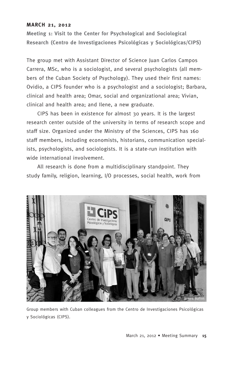#### **March 21, 2012**

**Meeting 1: Visit to the Center for Psychological and Sociological Research (Centro de Investigaciones Psicológicas y Sociológicas/CIPS)**

The group met with Assistant Director of Science Juan Carlos Campos Carrera, MSc, who is a sociologist, and several psychologists (all members of the Cuban Society of Psychology). They used their first names: Ovidio, a CIPS founder who is a psychologist and a sociologist; Barbara, clinical and health area; Omar, social and organizational area; Vivian, clinical and health area; and Ilene, a new graduate.

CIPS has been in existence for almost 30 years. It is the largest research center outside of the university in terms of research scope and staff size. Organized under the Ministry of the Sciences, CIPS has 160 staff members, including economists, historians, communication specialists, psychologists, and sociologists. It is a state-run institution with wide international involvement.

All research is done from a multidisciplinary standpoint. They study family, religion, learning, I/O processes, social health, work from



Group members with Cuban colleagues from the Centro de Investigaciones Psicológicas y Sociológicas (CIPS).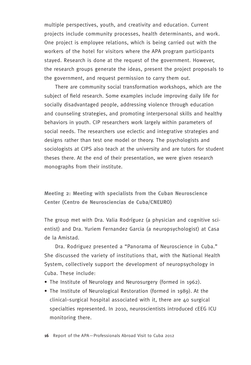multiple perspectives, youth, and creativity and education. Current projects include community processes, health determinants, and work. One project is employee relations, which is being carried out with the workers of the hotel for visitors where the APA program participants stayed. Research is done at the request of the government. However, the research groups generate the ideas, present the project proposals to the government, and request permission to carry them out.

There are community social transformation workshops, which are the subject of field research. Some examples include improving daily life for socially disadvantaged people, addressing violence through education and counseling strategies, and promoting interpersonal skills and healthy behaviors in youth. CIP researchers work largely within parameters of social needs. The researchers use eclectic and integrative strategies and designs rather than test one model or theory. The psychologists and sociologists at CIPS also teach at the university and are tutors for student theses there. At the end of their presentation, we were given research monographs from their institute.

**Meeting 2: Meeting with specialists from the Cuban Neuroscience Center (Centro de Neurosciencias de Cuba/CNEURO)**

The group met with Dra. Valia Rodríguez (a physician and cognitive scientist) and Dra. Yuriem Fernandez Garcia (a neuropsychologist) at Casa de la Amistad.

Dra. Rodriguez presented a "Panorama of Neuroscience in Cuba." She discussed the variety of institutions that, with the National Health System, collectively support the development of neuropsychology in Cuba. These include:

- The Institute of Neurology and Neurosurgery (formed in 1962).
- The Institute of Neurological Restoration (formed in 1989). At the clinical–surgical hospital associated with it, there are 40 surgical specialties represented. In 2010, neuroscientists introduced cEEG ICU monitoring there.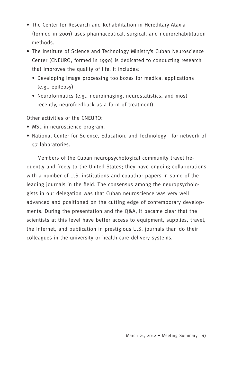- The Center for Research and Rehabilitation in Hereditary Ataxia (formed in 2001) uses pharmaceutical, surgical, and neurorehabilitation methods.
- The Institute of Science and Technology Ministry's Cuban Neuroscience Center (CNEURO, formed in 1990) is dedicated to conducting research that improves the quality of life. It includes:
	- Developing image processing toolboxes for medical applications (e.g., epilepsy)
	- Neuroformatics (e.g., neuroimaging, neurostatistics, and most recently, neurofeedback as a form of treatment).

Other activities of the CNEURO:

- MSc in neuroscience program.
- National Center for Science, Education, and Technology—for network of 57 laboratories.

Members of the Cuban neuropsychological community travel frequently and freely to the United States; they have ongoing collaborations with a number of U.S. institutions and coauthor papers in some of the leading journals in the field. The consensus among the neuropsychologists in our delegation was that Cuban neuroscience was very well advanced and positioned on the cutting edge of contemporary developments. During the presentation and the Q&A, it became clear that the scientists at this level have better access to equipment, supplies, travel, the Internet, and publication in prestigious U.S. journals than do their colleagues in the university or health care delivery systems.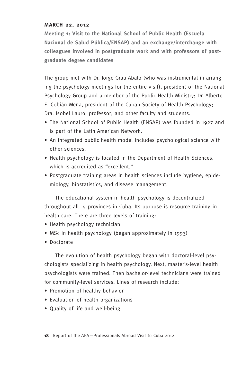#### **March 22, 2012**

**Meeting 1: Visit to the National School of Public Health (Escuela Nacional de Salud Pública/ENSAP) and an exchange/interchange with colleagues involved in postgraduate work and with professors of postgraduate degree candidates**

The group met with Dr. Jorge Grau Abalo (who was instrumental in arranging the psychology meetings for the entire visit), president of the National Psychology Group and a member of the Public Health Ministry; Dr. Alberto E. Cobián Mena, president of the Cuban Society of Health Psychology; Dra. Isobel Lauro, professor; and other faculty and students.

- The National School of Public Health (ENSAP) was founded in 1927 and is part of the Latin American Network.
- An integrated public health model includes psychological science with other sciences.
- Health psychology is located in the Department of Health Sciences, which is accredited as "excellent."
- Postgraduate training areas in health sciences include hygiene, epidemiology, biostatistics, and disease management.

The educational system in health psychology is decentralized throughout all 15 provinces in Cuba. Its purpose is resource training in health care. There are three levels of training:

- Health psychology technician
- MSc in health psychology (began approximately in 1993)
- Doctorate

The evolution of health psychology began with doctoral-level psychologists specializing in health psychology. Next, master's-level health psychologists were trained. Then bachelor-level technicians were trained for community-level services. Lines of research include:

- Promotion of healthy behavior
- Evaluation of health organizations
- Quality of life and well-being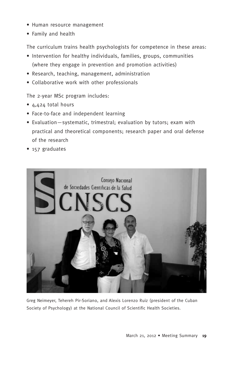- Human resource management
- Family and health

The curriculum trains health psychologists for competence in these areas:

- Intervention for healthy individuals, families, groups, communities (where they engage in prevention and promotion activities)
- Research, teaching, management, administration
- Collaborative work with other professionals

The 2-year MSc program includes:

- 4,424 total hours
- Face-to-face and independent learning
- Evaluation—systematic, trimestral; evaluation by tutors; exam with practical and theoretical components; research paper and oral defense of the research
- 157 graduates



Greg Neimeyer, Tehereh Pir-Soriano, and Alexis Lorenzo Ruiz (president of the Cuban Society of Psychology) at the National Council of Scientific Health Societies.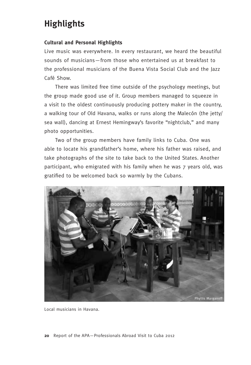# **Highlights**

### **Cultural and Personal Highlights**

Live music was everywhere. In every restaurant, we heard the beautiful sounds of musicians—from those who entertained us at breakfast to the professional musicians of the Buena Vista Social Club and the Jazz Café Show.

There was limited free time outside of the psychology meetings, but the group made good use of it. Group members managed to squeeze in a visit to the oldest continuously producing pottery maker in the country, a walking tour of Old Havana, walks or runs along the Malecón (the jetty/ sea wall), dancing at Ernest Hemingway's favorite "nightclub," and many photo opportunities.

Two of the group members have family links to Cuba. One was able to locate his grandfather's home, where his father was raised, and take photographs of the site to take back to the United States. Another participant, who emigrated with his family when he was 7 years old, was gratified to be welcomed back so warmly by the Cubans.



Local musicians in Havana.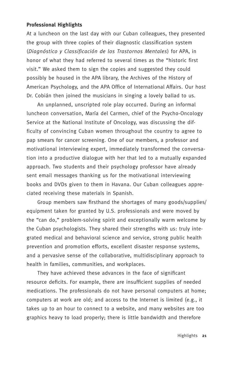#### **Professional Highlights**

At a luncheon on the last day with our Cuban colleagues, they presented the group with three copies of their diagnostic classification system (*Diagnóstico y Classificación de los Trastornos Mentales*) for APA, in honor of what they had referred to several times as the "historic first visit." We asked them to sign the copies and suggested they could possibly be housed in the APA library, the Archives of the History of American Psychology, and the APA Office of International Affairs. Our host Dr. Cobián then joined the musicians in singing a lovely ballad to us.

An unplanned, unscripted role play occurred. During an informal luncheon conversation, María del Carmen, chief of the Psycho-Oncology Service at the National Institute of Oncology, was discussing the difficulty of convincing Cuban women throughout the country to agree to pap smears for cancer screening. One of our members, a professor and motivational interviewing expert, immediately transformed the conversation into a productive dialogue with her that led to a mutually expanded approach. Two students and their psychology professor have already sent email messages thanking us for the motivational interviewing books and DVDs given to them in Havana. Our Cuban colleagues appreciated receiving these materials in Spanish.

Group members saw firsthand the shortages of many goods/supplies/ equipment taken for granted by U.S. professionals and were moved by the "can do," problem-solving spirit and exceptionally warm welcome by the Cuban psychologists. They shared their strengths with us: truly integrated medical and behavioral science and service, strong public health prevention and promotion efforts, excellent disaster response systems, and a pervasive sense of the collaborative, multidisciplinary approach to health in families, communities, and workplaces.

They have achieved these advances in the face of significant resource deficits. For example, there are insufficient supplies of needed medications. The professionals do not have personal computers at home; computers at work are old; and access to the Internet is limited (e.g., it takes up to an hour to connect to a website, and many websites are too graphics heavy to load properly; there is little bandwidth and therefore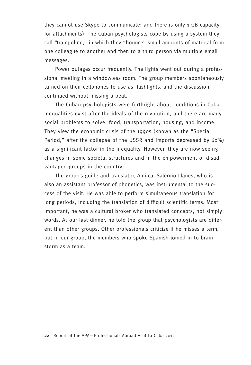they cannot use Skype to communicate; and there is only 1 GB capacity for attachments). The Cuban psychologists cope by using a system they call "trampoline," in which they "bounce" small amounts of material from one colleague to another and then to a third person via multiple email messages.

Power outages occur frequently. The lights went out during a professional meeting in a windowless room. The group members spontaneously turned on their cellphones to use as flashlights, and the discussion continued without missing a beat.

The Cuban psychologists were forthright about conditions in Cuba. Inequalities exist after the ideals of the revolution, and there are many social problems to solve: food, transportation, housing, and income. They view the economic crisis of the 1990s (known as the "Special Period," after the collapse of the USSR and imports decreased by 60%) as a significant factor in the inequality. However, they are now seeing changes in some societal structures and in the empowerment of disadvantaged groups in the country.

The group's guide and translator, Amircal Salermo Llanes, who is also an assistant professor of phonetics, was instrumental to the success of the visit. He was able to perform simultaneous translation for long periods, including the translation of difficult scientific terms. Most important, he was a cultural broker who translated concepts, not simply words. At our last dinner, he told the group that psychologists are different than other groups. Other professionals criticize if he misses a term, but in our group, the members who spoke Spanish joined in to brainstorm as a team.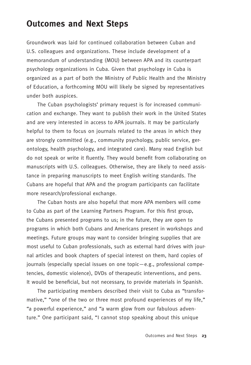# **Outcomes and Next Steps**

Groundwork was laid for continued collaboration between Cuban and U.S. colleagues and organizations. These include development of a memorandum of understanding (MOU) between APA and its counterpart psychology organizations in Cuba. Given that psychology in Cuba is organized as a part of both the Ministry of Public Health and the Ministry of Education, a forthcoming MOU will likely be signed by representatives under both auspices.

The Cuban psychologists' primary request is for increased communication and exchange. They want to publish their work in the United States and are very interested in access to APA journals. It may be particularly helpful to them to focus on journals related to the areas in which they are strongly committed (e.g., community psychology, public service, gerontology, health psychology, and integrated care). Many read English but do not speak or write it fluently. They would benefit from collaborating on manuscripts with U.S. colleagues. Otherwise, they are likely to need assistance in preparing manuscripts to meet English writing standards. The Cubans are hopeful that APA and the program participants can facilitate more research/professional exchange.

The Cuban hosts are also hopeful that more APA members will come to Cuba as part of the Learning Partners Program. For this first group, the Cubans presented programs to us; in the future, they are open to programs in which both Cubans and Americans present in workshops and meetings. Future groups may want to consider bringing supplies that are most useful to Cuban professionals, such as external hard drives with journal articles and book chapters of special interest on them, hard copies of journals (especially special issues on one topic—e.g., professional competencies, domestic violence), DVDs of therapeutic interventions, and pens. It would be beneficial, but not necessary, to provide materials in Spanish.

The participating members described their visit to Cuba as "transformative," "one of the two or three most profound experiences of my life," "a powerful experience," and "a warm glow from our fabulous adventure." One participant said, "I cannot stop speaking about this unique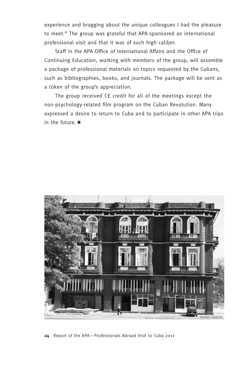experience and bragging about the unique colleagues I had the pleasure to meet." The group was grateful that APA sponsored an international professional visit and that it was of such high caliber.

Staff in the APA Office of International Affairs and the Office of Continuing Education, working with members of the group, will assemble a package of professional materials on topics requested by the Cubans, such as bibliographies, books, and journals. The package will be sent as a token of the group's appreciation.

The group received CE credit for all of the meetings except the non-psychology-related film program on the Cuban Revolution. Many expressed a desire to return to Cuba and to participate in other APA trips in the future. $\star$ 



**24** Report of the APA—Professionals Abroad Visit to Cuba 2012